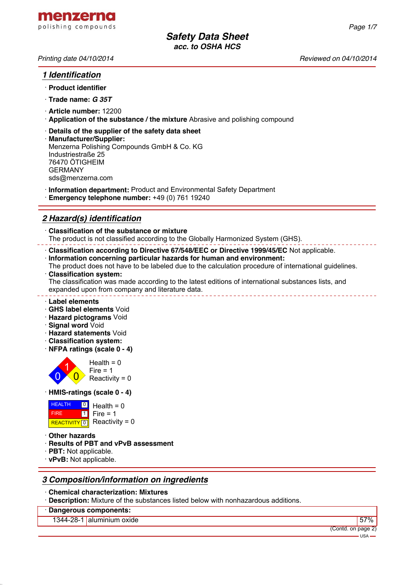

## *1 Identification*

- · **Product identifier**
- · **Trade name:** *G 35T*
- · **Article number:** 12200
- · **Application of the substance / the mixture** Abrasive and polishing compound
- · **Details of the supplier of the safety data sheet**
- · **Manufacturer/Supplier:** Menzerna Polishing Compounds GmbH & Co. KG Industriestraße 25 76470 ÖTIGHEIM GERMANY sds@menzerna.com
- · **Information department:** Product and Environmental Safety Department
- · **Emergency telephone number:** +49 (0) 761 19240

# *2 Hazard(s) identification*

· **Classification of the substance or mixture** The product is not classified according to the Globally Harmonized System (GHS).

· **Classification according to Directive 67/548/EEC or Directive 1999/45/EC** Not applicable.

- · **Information concerning particular hazards for human and environment:**
- The product does not have to be labeled due to the calculation procedure of international guidelines. · **Classification system:**

The classification was made according to the latest editions of international substances lists, and expanded upon from company and literature data.

- · **Label elements**
- · **GHS label elements** Void
- · **Hazard pictograms** Void
- · **Signal word** Void
- · **Hazard statements** Void
- · **Classification system:**
- · **NFPA ratings (scale 0 4)**



#### · **HMIS-ratings (scale 0 - 4)**

| <b>HEALTH</b> | $\Box$ Health = 0           |
|---------------|-----------------------------|
| <b>FIRE</b>   | $1$ Fire = 1                |
|               | REACTIVITY 0 Reactivity = 0 |

- · **Other hazards**
- · **Results of PBT and vPvB assessment**
- · **PBT:** Not applicable.
- · **vPvB:** Not applicable.

## *3 Composition/information on ingredients*

- · **Chemical characterization: Mixtures**
- · **Description:** Mixture of the substances listed below with nonhazardous additions.
- · **Dangerous components:**

1344-28-1 aluminium oxide 57%

USA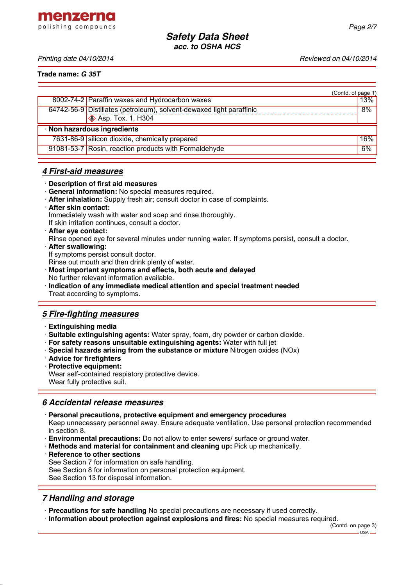menzerna polishing compounds

*Printing date 04/10/2014 Reviewed on 04/10/2014*

**Trade name:** *G 35T*

|                             | (Contd. of page 1)                                                   |     |
|-----------------------------|----------------------------------------------------------------------|-----|
|                             | 8002-74-2 Paraffin waxes and Hydrocarbon waxes                       | 13% |
|                             | 64742-56-9 Distillates (petroleum), solvent-dewaxed light paraffinic | 8%  |
|                             | $\otimes$ Asp. Tox. 1, H304                                          |     |
| · Non hazardous ingredients |                                                                      |     |
|                             | 7631-86-9 silicon dioxide, chemically prepared                       | 16% |
|                             | 91081-53-7 Rosin, reaction products with Formaldehyde                | 6%  |
|                             |                                                                      |     |

### *4 First-aid measures*

- · **Description of first aid measures**
- · **General information:** No special measures required.
- · **After inhalation:** Supply fresh air; consult doctor in case of complaints.
- · **After skin contact:** Immediately wash with water and soap and rinse thoroughly. If skin irritation continues, consult a doctor.
- · **After eye contact:**

Rinse opened eye for several minutes under running water. If symptoms persist, consult a doctor.

· **After swallowing:** If symptoms persist consult doctor.

Rinse out mouth and then drink plenty of water.

- · **Most important symptoms and effects, both acute and delayed** No further relevant information available.
- · **Indication of any immediate medical attention and special treatment needed** Treat according to symptoms.

## *5 Fire-fighting measures*

- · **Extinguishing media**
- · **Suitable extinguishing agents:** Water spray, foam, dry powder or carbon dioxide.
- · **For safety reasons unsuitable extinguishing agents:** Water with full jet
- · **Special hazards arising from the substance or mixture** Nitrogen oxides (NOx)
- · **Advice for firefighters**
- · **Protective equipment:** Wear self-contained respiatory protective device. Wear fully protective suit.

### *6 Accidental release measures*

- · **Personal precautions, protective equipment and emergency procedures**
- Keep unnecessary personnel away. Ensure adequate ventilation. Use personal protection recommended in section 8.
- · **Environmental precautions:** Do not allow to enter sewers/ surface or ground water.
- · **Methods and material for containment and cleaning up:** Pick up mechanically.
- **Reference to other sections**

See Section 7 for information on safe handling.

See Section 8 for information on personal protection equipment.

See Section 13 for disposal information.

### *7 Handling and storage*

· **Precautions for safe handling** No special precautions are necessary if used correctly.

· **Information about protection against explosions and fires:** No special measures required.

(Contd. on page 3) USA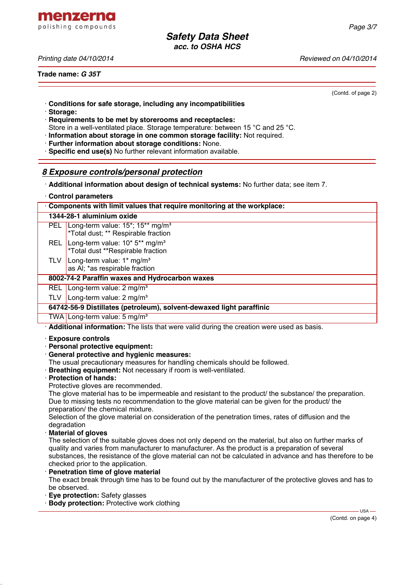*Printing date 04/10/2014 Reviewed on 04/10/2014*

**Trade name:** *G 35T*

(Contd. of page 2)

- · **Conditions for safe storage, including any incompatibilities**
- · **Storage:**
- · **Requirements to be met by storerooms and receptacles:** Store in a well-ventilated place. Storage temperature: between 15 °C and 25 °C.
- · **Information about storage in one common storage facility:** Not required.
- · **Further information about storage conditions:** None.
- · **Specific end use(s)** No further relevant information available.

## *8 Exposure controls/personal protection*

- · **Additional information about design of technical systems:** No further data; see item 7.
- · **Control parameters**

| Components with limit values that require monitoring at the workplace: |                                                                                                                  |  |  |  |  |
|------------------------------------------------------------------------|------------------------------------------------------------------------------------------------------------------|--|--|--|--|
|                                                                        | 1344-28-1 aluminium oxide                                                                                        |  |  |  |  |
|                                                                        | PEL Long-term value: 15 <sup>*</sup> ; 15 <sup>**</sup> mg/m <sup>3</sup><br>*Total dust; ** Respirable fraction |  |  |  |  |
| REL I                                                                  | Long-term value: 10* 5** mg/m <sup>3</sup><br>*Total dust **Respirable fraction                                  |  |  |  |  |
| TLV                                                                    | Long-term value: 1* mg/m <sup>3</sup><br>as AI; *as respirable fraction                                          |  |  |  |  |
| 8002-74-2 Paraffin waxes and Hydrocarbon waxes                         |                                                                                                                  |  |  |  |  |
|                                                                        | REL   Long-term value: $2 \text{ mg/m}^3$                                                                        |  |  |  |  |
| TLV                                                                    | Long-term value: 2 mg/m <sup>3</sup>                                                                             |  |  |  |  |
| 64742-56-9 Distillates (petroleum), solvent-dewaxed light paraffinic   |                                                                                                                  |  |  |  |  |
|                                                                        | TWA Long-term value: 5 mg/m <sup>3</sup>                                                                         |  |  |  |  |
|                                                                        | .                                                                                                                |  |  |  |  |

· **Additional information:** The lists that were valid during the creation were used as basis.

- · **Exposure controls**
- · **Personal protective equipment:**
- · **General protective and hygienic measures:**
- The usual precautionary measures for handling chemicals should be followed.
- · **Breathing equipment:** Not necessary if room is well-ventilated.
- · **Protection of hands:**
- Protective gloves are recommended.

The glove material has to be impermeable and resistant to the product/ the substance/ the preparation. Due to missing tests no recommendation to the glove material can be given for the product/ the preparation/ the chemical mixture.

Selection of the glove material on consideration of the penetration times, rates of diffusion and the degradation

· **Material of gloves**

The selection of the suitable gloves does not only depend on the material, but also on further marks of quality and varies from manufacturer to manufacturer. As the product is a preparation of several substances, the resistance of the glove material can not be calculated in advance and has therefore to be checked prior to the application.

**Penetration time of glove material** 

The exact break through time has to be found out by the manufacturer of the protective gloves and has to be observed.

- · **Eye protection:** Safety glasses
- **Body protection:** Protective work clothing

(Contd. on page 4)

USA



menzerna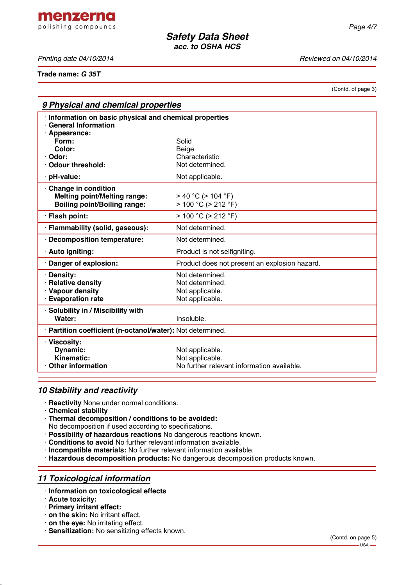menzerna polishing compounds

*Printing date 04/10/2014 Reviewed on 04/10/2014*

**Trade name:** *G 35T*

(Contd. of page 3)

| 9 Physical and chemical properties                                                  |                                                            |  |  |
|-------------------------------------------------------------------------------------|------------------------------------------------------------|--|--|
| Information on basic physical and chemical properties<br><b>General Information</b> |                                                            |  |  |
| Appearance:                                                                         |                                                            |  |  |
| Form:                                                                               | Solid                                                      |  |  |
| Color:                                                                              | Beige                                                      |  |  |
| Odor:                                                                               | Characteristic                                             |  |  |
| Odour threshold:                                                                    | Not determined.                                            |  |  |
| pH-value:                                                                           | Not applicable.                                            |  |  |
| Change in condition                                                                 |                                                            |  |  |
| <b>Melting point/Melting range:</b>                                                 | $>$ 40 °C ( $>$ 104 °F)                                    |  |  |
| <b>Boiling point/Boiling range:</b>                                                 | $> 100 °C$ ( $> 212 °F$ )                                  |  |  |
| · Flash point:                                                                      | $> 100 °C$ ( $> 212 °F$ )                                  |  |  |
| · Flammability (solid, gaseous):                                                    | Not determined.                                            |  |  |
| · Decomposition temperature:                                                        | Not determined.                                            |  |  |
| · Auto igniting:                                                                    | Product is not selfigniting.                               |  |  |
| Danger of explosion:                                                                | Product does not present an explosion hazard.              |  |  |
| · Density:                                                                          | Not determined.                                            |  |  |
| · Relative density                                                                  | Not determined.                                            |  |  |
| · Vapour density                                                                    | Not applicable.                                            |  |  |
| · Evaporation rate                                                                  | Not applicable.                                            |  |  |
| · Solubility in / Miscibility with                                                  |                                                            |  |  |
| Water:                                                                              | Insoluble.                                                 |  |  |
|                                                                                     | · Partition coefficient (n-octanol/water): Not determined. |  |  |
| · Viscosity:                                                                        |                                                            |  |  |
| <b>Dynamic:</b>                                                                     | Not applicable.                                            |  |  |
| <b>Kinematic:</b>                                                                   | Not applicable.                                            |  |  |
| <b>Other information</b>                                                            | No further relevant information available.                 |  |  |

## *10 Stability and reactivity*

- · **Reactivity** None under normal conditions.
- · **Chemical stability**
- · **Thermal decomposition / conditions to be avoided:**
- No decomposition if used according to specifications.
- · **Possibility of hazardous reactions** No dangerous reactions known.
- · **Conditions to avoid** No further relevant information available.
- · **Incompatible materials:** No further relevant information available.
- · **Hazardous decomposition products:** No dangerous decomposition products known.

## *11 Toxicological information*

- · **Information on toxicological effects**
- · **Acute toxicity:**
- · **Primary irritant effect:**
- · **on the skin:** No irritant effect.
- · **on the eye:** No irritating effect.
- · **Sensitization:** No sensitizing effects known.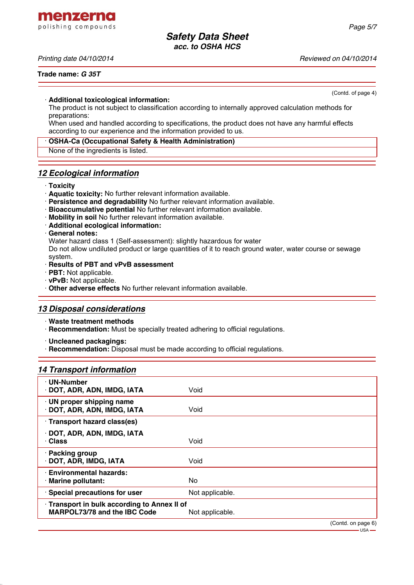menzerna polishing compounds

*Printing date 04/10/2014 Reviewed on 04/10/2014*

(Contd. of page 4)

#### · **Additional toxicological information:**

The product is not subject to classification according to internally approved calculation methods for preparations:

When used and handled according to specifications, the product does not have any harmful effects according to our experience and the information provided to us.

#### · **OSHA-Ca (Occupational Safety & Health Administration)**

None of the ingredients is listed.

### *12 Ecological information*

- · **Toxicity**
- · **Aquatic toxicity:** No further relevant information available.
- · **Persistence and degradability** No further relevant information available.
- · **Bioaccumulative potential** No further relevant information available.
- · **Mobility in soil** No further relevant information available.
- · **Additional ecological information:**

#### · **General notes:**

Water hazard class 1 (Self-assessment): slightly hazardous for water

Do not allow undiluted product or large quantities of it to reach ground water, water course or sewage system.

#### · **Results of PBT and vPvB assessment**

- · **PBT:** Not applicable.
- · **vPvB:** Not applicable.
- · **Other adverse effects** No further relevant information available.

### *13 Disposal considerations*

- · **Waste treatment methods**
- · **Recommendation:** Must be specially treated adhering to official regulations.
- · **Uncleaned packagings:**
- **Recommendation:** Disposal must be made according to official regulations.

### *14 Transport information*

| · UN-Number<br>DOT, ADR, ADN, IMDG, IATA                                          | Void            |
|-----------------------------------------------------------------------------------|-----------------|
| UN proper shipping name<br>DOT, ADR, ADN, IMDG, IATA                              | Void            |
| · Transport hazard class(es)                                                      |                 |
| DOT, ADR, ADN, IMDG, IATA<br><b>· Class</b>                                       | Void            |
| · Packing group<br>· DOT, ADR, IMDG, IATA                                         | Void            |
| <b>Environmental hazards:</b><br>· Marine pollutant:                              | No.             |
| · Special precautions for user                                                    | Not applicable. |
| Transport in bulk according to Annex II of<br><b>MARPOL73/78 and the IBC Code</b> | Not applicable. |
|                                                                                   | (Contdonposee)  |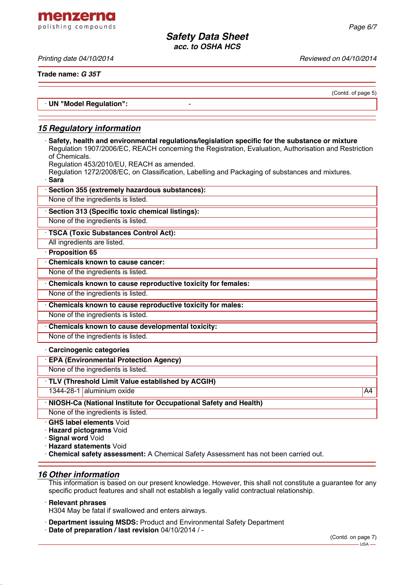*Printing date 04/10/2014 Reviewed on 04/10/2014*

menzerna polishing compounds

**Trade name:** *G 35T*

(Contd. of page 5)

· **UN "Model Regulation":** -

## *15 Regulatory information*

· **Safety, health and environmental regulations/legislation specific for the substance or mixture** Regulation 1907/2006/EC, REACH concerning the Registration, Evaluation, Authorisation and Restriction of Chemicals.

Regulation 453/2010/EU, REACH as amended.

Regulation 1272/2008/EC, on Classification, Labelling and Packaging of substances and mixtures. · **Sara**

| Section 355 (extremely hazardous substances):                    |
|------------------------------------------------------------------|
| None of the ingredients is listed.                               |
| Section 313 (Specific toxic chemical listings):                  |
| None of the ingredients is listed.                               |
| TSCA (Toxic Substances Control Act):                             |
| All ingredients are listed.                                      |
| Proposition 65                                                   |
| <b>Chemicals known to cause cancer:</b>                          |
| None of the ingredients is listed.                               |
| Chemicals known to cause reproductive toxicity for females:      |
| None of the ingredients is listed.                               |
| Chemicals known to cause reproductive toxicity for males:        |
| None of the ingredients is listed.                               |
| Chemicals known to cause developmental toxicity:                 |
| None of the ingredients is listed.                               |
| Carcinogenic categories                                          |
| <b>EPA (Environmental Protection Agency)</b>                     |
| None of the ingredients is listed.                               |
| TLV (Threshold Limit Value established by ACGIH)                 |
| 1344-28-1 aluminium oxide<br>A4                                  |
| NIOSH-Ca (National Institute for Occupational Safety and Health) |
| None of the ingredients is listed.                               |
| <b>GHS label elements Void</b>                                   |
| <b>Hazard pictograms Void</b>                                    |
| Signal word Void                                                 |

· **Hazard statements** Void

· **Chemical safety assessment:** A Chemical Safety Assessment has not been carried out.

### *16 Other information*

This information is based on our present knowledge. However, this shall not constitute a guarantee for any specific product features and shall not establish a legally valid contractual relationship.

#### · **Relevant phrases**

H304 May be fatal if swallowed and enters airways.

- · **Department issuing MSDS:** Product and Environmental Safety Department
- · **Date of preparation / last revision** 04/10/2014 / -